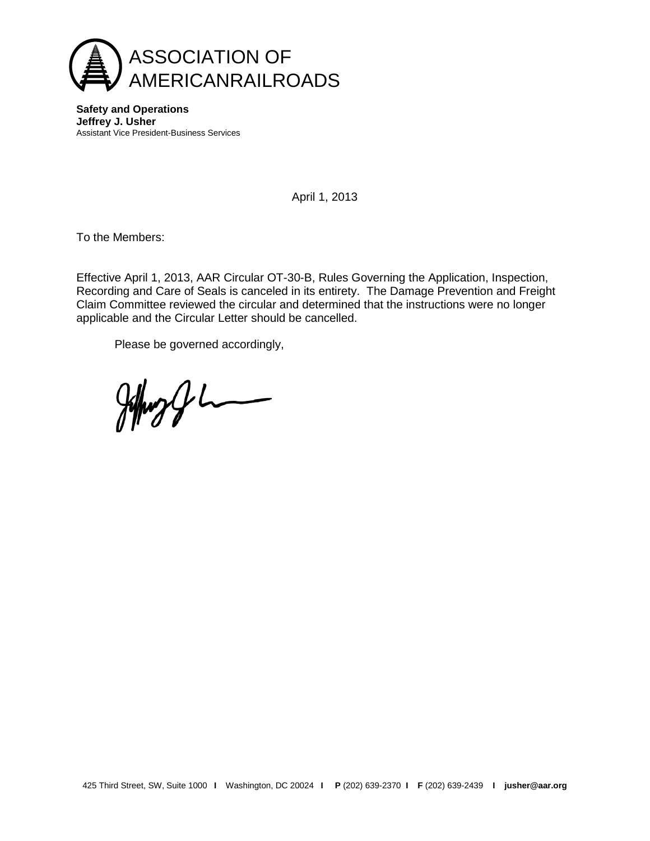

**Safety and Operations Jeffrey J. Usher** Assistant Vice President-Business Services

April 1, 2013

To the Members:

Effective April 1, 2013, AAR Circular OT-30-B, Rules Governing the Application, Inspection, Recording and Care of Seals is canceled in its entirety. The Damage Prevention and Freight Claim Committee reviewed the circular and determined that the instructions were no longer applicable and the Circular Letter should be cancelled.

Please be governed accordingly,

 $\frac{1}{2}$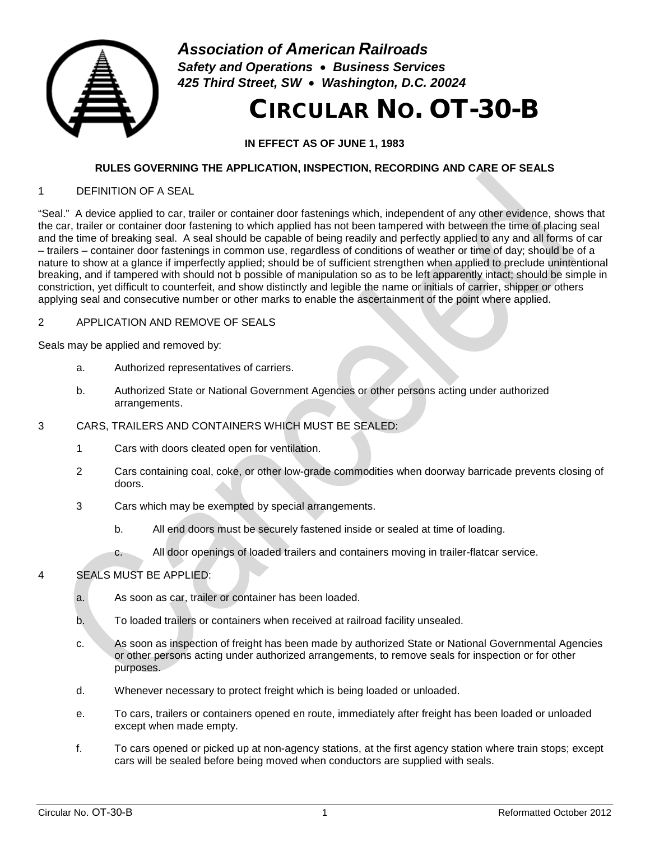

*Association of American Railroads Safety and Operations* • *Business Services 425 Third Street, SW* • *Washington, D.C. 20024*

# CIRCULAR NO. OT-30-B

**IN EFFECT AS OF JUNE 1, 1983**

# **RULES GOVERNING THE APPLICATION, INSPECTION, RECORDING AND CARE OF SEALS**

## 1 DEFINITION OF A SEAL

"Seal." A device applied to car, trailer or container door fastenings which, independent of any other evidence, shows that the car, trailer or container door fastening to which applied has not been tampered with between the time of placing seal and the time of breaking seal. A seal should be capable of being readily and perfectly applied to any and all forms of car – trailers – container door fastenings in common use, regardless of conditions of weather or time of day; should be of a nature to show at a glance if imperfectly applied; should be of sufficient strengthen when applied to preclude unintentional breaking, and if tampered with should not b possible of manipulation so as to be left apparently intact; should be simple in constriction, yet difficult to counterfeit, and show distinctly and legible the name or initials of carrier, shipper or others applying seal and consecutive number or other marks to enable the ascertainment of the point where applied.

## 2 APPLICATION AND REMOVE OF SEALS

Seals may be applied and removed by:

- a. Authorized representatives of carriers.
- b. Authorized State or National Government Agencies or other persons acting under authorized arrangements.

# 3 CARS, TRAILERS AND CONTAINERS WHICH MUST BE SEALED:

- 1 Cars with doors cleated open for ventilation.
- 2 Cars containing coal, coke, or other low-grade commodities when doorway barricade prevents closing of doors.
- 3 Cars which may be exempted by special arrangements.
	- b. All end doors must be securely fastened inside or sealed at time of loading.
	- c. All door openings of loaded trailers and containers moving in trailer-flatcar service.

# 4 SEALS MUST BE APPLIED:

- a. As soon as car, trailer or container has been loaded.
- b. To loaded trailers or containers when received at railroad facility unsealed.
- c. As soon as inspection of freight has been made by authorized State or National Governmental Agencies or other persons acting under authorized arrangements, to remove seals for inspection or for other purposes.
- d. Whenever necessary to protect freight which is being loaded or unloaded.
- e. To cars, trailers or containers opened en route, immediately after freight has been loaded or unloaded except when made empty.
- f. To cars opened or picked up at non-agency stations, at the first agency station where train stops; except cars will be sealed before being moved when conductors are supplied with seals.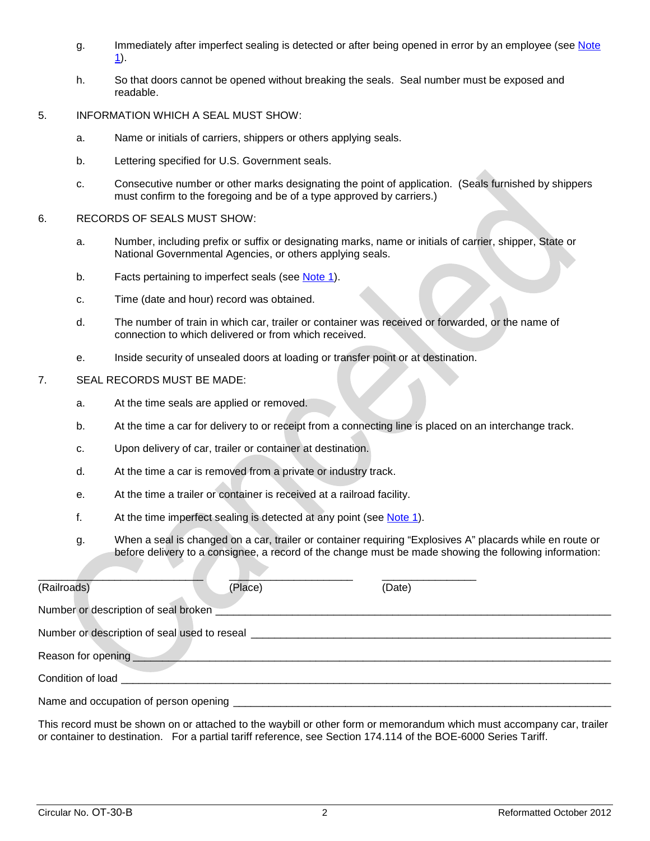- g. Immediately after imperfect sealing is detected or after being opened in error by an employee (see Note  $1$ ).
- h. So that doors cannot be opened without breaking the seals. Seal number must be exposed and readable.
- 5. INFORMATION WHICH A SEAL MUST SHOW:
	- a. Name or initials of carriers, shippers or others applying seals.
	- b. Lettering specified for U.S. Government seals.
	- c. Consecutive number or other marks designating the point of application. (Seals furnished by shippers must confirm to the foregoing and be of a type approved by carriers.)
- 6. RECORDS OF SEALS MUST SHOW:
	- a. Number, including prefix or suffix or designating marks, name or initials of carrier, shipper, State or National Governmental Agencies, or others applying seals.
	- b. Facts pertaining to imperfect seals (see [Note 1\)](#page-3-0).
	- c. Time (date and hour) record was obtained.
	- d. The number of train in which car, trailer or container was received or forwarded, or the name of connection to which delivered or from which received.
	- e. Inside security of unsealed doors at loading or transfer point or at destination.

#### 7. SEAL RECORDS MUST BE MADE:

- a. At the time seals are applied or removed.
- b. At the time a car for delivery to or receipt from a connecting line is placed on an interchange track.
- c. Upon delivery of car, trailer or container at destination.
- d. At the time a car is removed from a private or industry track.
- e. At the time a trailer or container is received at a railroad facility.
- f. At the time imperfect sealing is detected at any point (see [Note 1\)](#page-3-0).
- g. When a seal is changed on a car, trailer or container requiring "Explosives A" placards while en route or before delivery to a consignee, a record of the change must be made showing the following information:

| (Railroads)                                  | (Place) | (Date) |  |
|----------------------------------------------|---------|--------|--|
| Number or description of seal broken         |         |        |  |
| Number or description of seal used to reseal |         |        |  |
| Reason for opening                           |         |        |  |
| Condition of load                            |         |        |  |
| Name and occupation of person opening        |         |        |  |

This record must be shown on or attached to the waybill or other form or memorandum which must accompany car, trailer or container to destination. For a partial tariff reference, see Section 174.114 of the BOE-6000 Series Tariff.